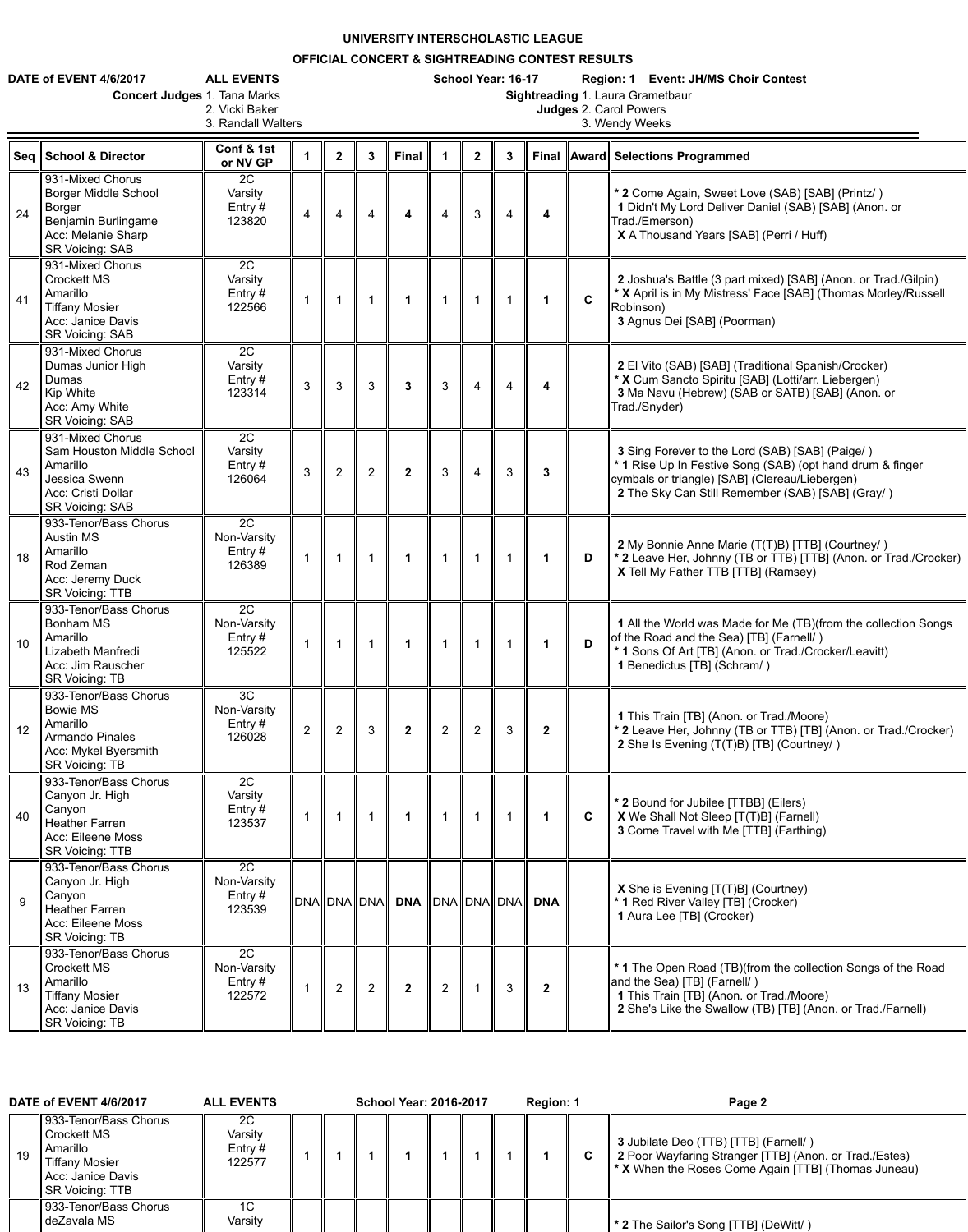## **UNIVERSITY INTERSCHOLASTIC LEAGUE**

## **OFFICIAL CONCERT & SIGHTREADING CONTEST RESULTS**

|    | DATE of EVENT 4/6/2017<br><b>Concert Judges 1. Tana Marks</b>                                                                           | <b>ALL EVENTS</b><br>2. Vicki Baker<br>3. Randall Walters |                |                |                |                                     |                | School Year: 16-17<br>Region: 1 Event: JH/MS Choir Contest<br>Sightreading 1. Laura Grametbaur<br><b>Judges 2. Carol Powers</b><br>3. Wendy Weeks |              |              |             |                                                                                                                                                                                                                    |  |  |  |  |
|----|-----------------------------------------------------------------------------------------------------------------------------------------|-----------------------------------------------------------|----------------|----------------|----------------|-------------------------------------|----------------|---------------------------------------------------------------------------------------------------------------------------------------------------|--------------|--------------|-------------|--------------------------------------------------------------------------------------------------------------------------------------------------------------------------------------------------------------------|--|--|--|--|
|    | Seq School & Director                                                                                                                   | Conf & 1st<br>or NV GP                                    |                | $\mathbf{2}$   | $\mathbf{3}$   | <b>Final</b>                        | $\mathbf 1$    | 2 <sup>1</sup>                                                                                                                                    | 3            |              |             | Final    Award    Selections Programmed                                                                                                                                                                            |  |  |  |  |
| 24 | 931-Mixed Chorus<br><b>Borger Middle School</b><br><b>Borger</b><br>Benjamin Burlingame<br>Acc: Melanie Sharp<br><b>SR Voicing: SAB</b> | 2C<br>Varsity<br>Entry $#$<br>123820                      | $\overline{4}$ | $\overline{4}$ | $\overline{4}$ | $\overline{\mathbf{4}}$             | $\overline{4}$ | 3                                                                                                                                                 | 4            | 4            |             | * 2 Come Again, Sweet Love (SAB) [SAB] (Printz/)<br>1 Didn't My Lord Deliver Daniel (SAB) [SAB] (Anon. or<br>Trad./Emerson)<br>X A Thousand Years [SAB] (Perri / Huff)                                             |  |  |  |  |
| 41 | 931-Mixed Chorus<br><b>Crockett MS</b><br>Amarillo<br><b>Tiffany Mosier</b><br>Acc: Janice Davis<br><b>SR Voicing: SAB</b>              | 2C<br>Varsity<br>Entry $#$<br>122566                      |                |                |                |                                     |                |                                                                                                                                                   |              | 1            | $\mathbf C$ | 2 Joshua's Battle (3 part mixed) [SAB] (Anon. or Trad./Gilpin)<br>* X April is in My Mistress' Face [SAB] (Thomas Morley/Russell<br>Robinson)<br>3 Agnus Dei [SAB] (Poorman)                                       |  |  |  |  |
| 42 | 931-Mixed Chorus<br>Dumas Junior High<br>Dumas<br>Kip White<br>Acc: Amy White<br><b>SR Voicing: SAB</b>                                 | 2C<br>Varsity<br>Entry $#$<br>123314                      | $\overline{3}$ | $\mathbf{3}$   | $\mathbf{3}$   | $\mathbf{3}$                        | $\mathbf{3}$   | 4                                                                                                                                                 | 4            | 4            |             | 2 El Vito (SAB) [SAB] (Traditional Spanish/Crocker)<br>* X Cum Sancto Spiritu [SAB] (Lotti/arr. Liebergen)<br>3 Ma Navu (Hebrew) (SAB or SATB) [SAB] (Anon. or<br>Trad./Snyder)                                    |  |  |  |  |
| 43 | 931-Mixed Chorus<br>Sam Houston Middle School<br>Amarillo<br>Jessica Swenn<br>Acc: Cristi Dollar<br><b>SR Voicing: SAB</b>              | 2C<br>Varsity<br>Entry $#$<br>126064                      | 3              | 2              | $\overline{2}$ | $\mathbf{2}$                        | 3              | $\overline{4}$                                                                                                                                    | 3            | $\mathbf{3}$ |             | 3 Sing Forever to the Lord (SAB) [SAB] (Paige/)<br>* 1 Rise Up In Festive Song (SAB) (opt hand drum & finger<br>cymbals or triangle) [SAB] (Clereau/Liebergen)<br>2 The Sky Can Still Remember (SAB) [SAB] (Gray/) |  |  |  |  |
| 18 | 933-Tenor/Bass Chorus<br><b>Austin MS</b><br>Amarillo<br>Rod Zeman<br>Acc: Jeremy Duck<br><b>SR Voicing: TTB</b>                        | 2C<br>Non-Varsity<br>Entry $#$<br>126389                  |                |                |                | $\blacktriangleleft$                | $\mathbf{1}$   |                                                                                                                                                   |              | $\mathbf 1$  | D           | 2 My Bonnie Anne Marie (T(T)B) [TTB] (Courtney/)<br>* 2 Leave Her, Johnny (TB or TTB) [TTB] (Anon. or Trad./Crocker)<br>X Tell My Father TTB [TTB] (Ramsey)                                                        |  |  |  |  |
| 10 | 933-Tenor/Bass Chorus<br><b>Bonham MS</b><br>Amarillo<br>Lizabeth Manfredi<br>Acc: Jim Rauscher<br><b>SR Voicing: TB</b>                | 2C<br>Non-Varsity<br>Entry $#$<br>125522                  |                |                |                | 1                                   | $\mathbf 1$    |                                                                                                                                                   |              | $\mathbf 1$  | D           | 1 All the World was Made for Me (TB)(from the collection Songs<br>of the Road and the Sea) [TB] (Farnell/)<br>* 1 Sons Of Art [TB] (Anon. or Trad./Crocker/Leavitt)<br>1 Benedictus [TB] (Schram/)                 |  |  |  |  |
| 12 | 933-Tenor/Bass Chorus<br><b>Bowie MS</b><br>Amarillo<br><b>Armando Pinales</b><br>Acc: Mykel Byersmith<br><b>SR Voicing: TB</b>         | $\overline{3C}$<br>Non-Varsity<br>Entry $#$<br>126028     | $\overline{2}$ | 2              | $\mathbf{3}$   | $\overline{2}$                      | $\overline{2}$ | $\overline{2}$                                                                                                                                    | 3            | $\mathbf{2}$ |             | 1 This Train [TB] (Anon. or Trad./Moore)<br>* 2 Leave Her, Johnny (TB or TTB) [TB] (Anon. or Trad./Crocker)<br>2 She Is Evening (T(T)B) [TB] (Courtney/)                                                           |  |  |  |  |
| 40 | 933-Tenor/Bass Chorus<br>Canyon Jr. High<br>Canyon<br><b>Heather Farren</b><br>Acc: Eileene Moss<br><b>SR Voicing: TTB</b>              | 2C<br>Varsity<br>Entry $#$<br>123537                      |                |                |                | 1                                   | $\mathbf 1$    |                                                                                                                                                   |              | 1.           | $\mathbf C$ | * 2 Bound for Jubilee [TTBB] (Eilers)<br>X We Shall Not Sleep [T(T)B] (Farnell)<br>3 Come Travel with Me [TTB] (Farthing)                                                                                          |  |  |  |  |
| 9  | 933-Tenor/Bass Chorus<br>Canyon Jr. High<br>Canyon<br><b>Heather Farren</b><br>Acc: Eileene Moss<br><b>SR Voicing: TB</b>               | $\overline{2C}$<br>Non-Varsity<br>Entry $#$<br>123539     |                |                |                | DNA DNA DNA DNA DNA DNA DNA DNA DNA |                |                                                                                                                                                   |              |              |             | <b>X</b> She is Evening [T(T)B] (Courtney)<br>* 1 Red River Valley [TB] (Crocker)<br>1 Aura Lee [TB] (Crocker)                                                                                                     |  |  |  |  |
| 13 | 933-Tenor/Bass Chorus<br><b>Crockett MS</b><br>Amarillo<br><b>Tiffany Mosier</b><br>Acc: Janice Davis<br><b>SR Voicing: TB</b>          | 2C<br>Non-Varsity<br>Entry #<br>122572                    |                | 2              | $\overline{2}$ | $\overline{2}$                      | $\overline{2}$ |                                                                                                                                                   | $\mathbf{3}$ | $\mathbf{2}$ |             | <sup>*</sup> 1 The Open Road (TB)(from the collection Songs of the Road<br>and the Sea) [TB] (Farnell/)<br>1 This Train [TB] (Anon. or Trad./Moore)<br>2 She's Like the Swallow (TB) [TB] (Anon. or Trad./Farnell) |  |  |  |  |

| DATE of EVENT 4/6/2017 |    |                                                                                                                          | <b>ALL EVENTS</b>                    |  | <b>School Year: 2016-2017</b> |  | Region: 1 |  | Page 2 |                                                                                                                                                                    |
|------------------------|----|--------------------------------------------------------------------------------------------------------------------------|--------------------------------------|--|-------------------------------|--|-----------|--|--------|--------------------------------------------------------------------------------------------------------------------------------------------------------------------|
|                        | 19 | 933-Tenor/Bass Chorus<br><b>Crockett MS</b><br>Amarillo<br><b>Tiffany Mosier</b><br>Acc: Janice Davis<br>SR Voicing: TTB | 2C<br>Varsity<br>Entry $#$<br>122577 |  |                               |  |           |  | C      | 3 Jubilate Deo (TTB) [TTB] (Farnell/)<br>2 Poor Wayfaring Stranger [TTB] (Anon. or Trad./Estes)<br>$\parallel^*$ X When the Roses Come Again [TTB] (Thomas Juneau) |
|                        |    | 933-Tenor/Bass Chorus<br>deZavala MS                                                                                     | 1C<br>Varsity                        |  |                               |  |           |  |        | <b>1 * 2</b> The Sailor's Song [TTB] (DeWitt/)                                                                                                                     |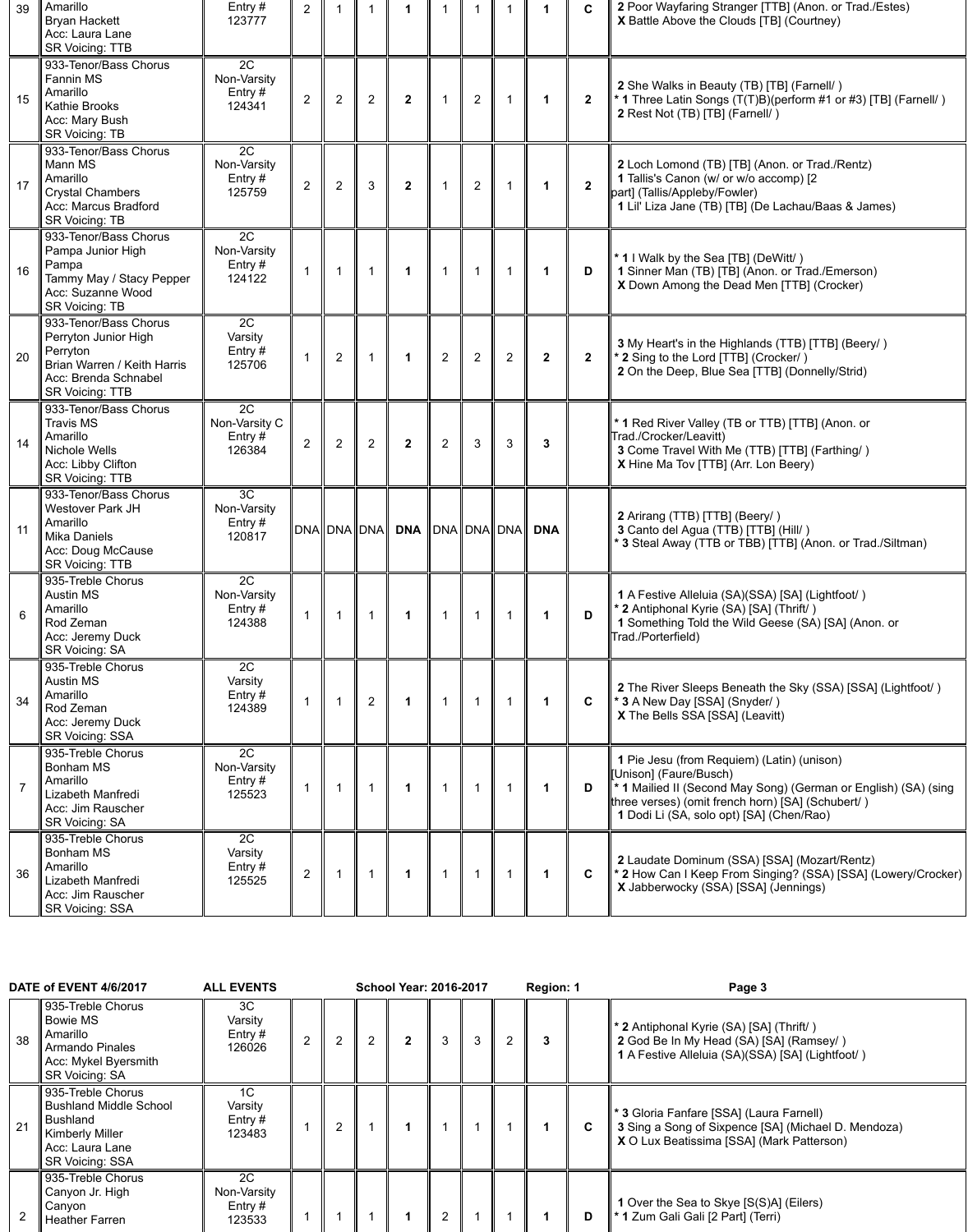| 39 | Amarillo<br><b>Bryan Hackett</b><br>Acc: Laura Lane<br><b>SR Voicing: TTB</b>                                                              | Entry #<br>123777                          | $\overline{2}$ |                |               |                      |                                 |                |                |                | $\mathbf C$    | 2 Poor Wayfaring Stranger [TTB] (Anon. or Trad./Estes)<br>X Battle Above the Clouds [TB] (Courtney)                                                                                                                                     |
|----|--------------------------------------------------------------------------------------------------------------------------------------------|--------------------------------------------|----------------|----------------|---------------|----------------------|---------------------------------|----------------|----------------|----------------|----------------|-----------------------------------------------------------------------------------------------------------------------------------------------------------------------------------------------------------------------------------------|
| 15 | 933-Tenor/Bass Chorus<br>Fannin MS<br>Amarillo<br><b>Kathie Brooks</b><br>Acc: Mary Bush<br><b>SR Voicing: TB</b>                          | 2C<br>Non-Varsity<br>Entry $#$<br>124341   | $\overline{2}$ | $\overline{2}$ | 2             | $\overline{2}$       | 1                               | $\overline{2}$ |                | 1              | $\overline{2}$ | 2 She Walks in Beauty (TB) [TB] (Farnell/)<br>* 1 Three Latin Songs (T(T)B)(perform #1 or #3) [TB] (Farnell/)<br>2 Rest Not (TB) [TB] (Farnell/)                                                                                        |
| 17 | 933-Tenor/Bass Chorus<br>Mann MS<br>Amarillo<br><b>Crystal Chambers</b><br>Acc: Marcus Bradford<br><b>SR Voicing: TB</b>                   | 2C<br>Non-Varsity<br>Entry $#$<br>125759   | $\overline{2}$ | $\overline{2}$ | 3             | $\overline{2}$       |                                 | $\overline{2}$ |                |                | $\overline{2}$ | 2 Loch Lomond (TB) [TB] (Anon. or Trad./Rentz)<br>1 Tallis's Canon (w/ or w/o accomp) [2<br>part] (Tallis/Appleby/Fowler)<br>1 Lil' Liza Jane (TB) [TB] (De Lachau/Baas & James)                                                        |
| 16 | 933-Tenor/Bass Chorus<br>Pampa Junior High<br>Pampa<br>Tammy May / Stacy Pepper<br>Acc: Suzanne Wood<br><b>SR Voicing: TB</b>              | 2C<br>Non-Varsity<br>Entry $#$<br>124122   |                |                |               | $\blacktriangleleft$ | $\mathbf 1$                     | $\overline{1}$ |                | $\mathbf 1$    | D              | * 1 I Walk by the Sea [TB] (DeWitt/)<br>1 Sinner Man (TB) [TB] (Anon. or Trad./Emerson)<br>X Down Among the Dead Men [TTB] (Crocker)                                                                                                    |
| 20 | 933-Tenor/Bass Chorus<br>Perryton Junior High<br>Perryton<br>Brian Warren / Keith Harris<br>Acc: Brenda Schnabel<br><b>SR Voicing: TTB</b> | 2C<br>Varsity<br>Entry $#$<br>125706       |                | $\overline{2}$ |               | 1                    | $\overline{2}$                  | 2              | $\overline{2}$ | $\overline{2}$ | $\overline{2}$ | 3 My Heart's in the Highlands (TTB) [TTB] (Beery/)<br>* 2 Sing to the Lord [TTB] (Crocker/)<br>2 On the Deep, Blue Sea [TTB] (Donnelly/Strid)                                                                                           |
| 14 | 933-Tenor/Bass Chorus<br><b>Travis MS</b><br>Amarillo<br>Nichole Wells<br>Acc: Libby Clifton<br><b>SR Voicing: TTB</b>                     | 2C<br>Non-Varsity C<br>Entry $#$<br>126384 | $\mathcal{D}$  | $\overline{2}$ | $\mathcal{P}$ | $\mathbf{p}$         | 2                               | $\mathcal{R}$  | ર              | 3              |                | * 1 Red River Valley (TB or TTB) [TTB] (Anon. or<br>Trad./Crocker/Leavitt)<br>3 Come Travel With Me (TTB) [TTB] (Farthing/)<br>X Hine Ma Tov [TTB] (Arr. Lon Beery)                                                                     |
| 11 | 933-Tenor/Bass Chorus<br><b>Westover Park JH</b><br>Amarillo<br>Mika Daniels<br>Acc: Doug McCause<br><b>SR Voicing: TTB</b>                | 3C<br>Non-Varsity<br>Entry $#$<br>120817   |                | DNA DNA DNA    |               | <b>DNA</b>           | $\ $ DNA $\ $ DNA $\ $ DNA $\ $ |                |                | <b>DNA</b>     |                | 2 Arirang (TTB) [TTB] (Beery/)<br>3 Canto del Agua (TTB) [TTB] (Hill/)<br>* 3 Steal Away (TTB or TBB) [TTB] (Anon. or Trad./Siltman)                                                                                                    |
| 6  | 935-Treble Chorus<br><b>Austin MS</b><br>Amarillo<br>Rod Zeman<br>Acc: Jeremy Duck<br><b>SR Voicing: SA</b>                                | 2C<br>Non-Varsity<br>Entry $#$<br>124388   |                |                |               |                      | 1                               |                |                |                | D              | 1 A Festive Alleluia (SA)(SSA) [SA] (Lightfoot/)<br>* 2 Antiphonal Kyrie (SA) [SA] (Thrift/)<br>1 Something Told the Wild Geese (SA) [SA] (Anon. or<br>Trad./Porterfield)                                                               |
| 34 | 935-Treble Chorus<br><b>Austin MS</b><br>Amarillo<br>Rod Zeman<br>Acc: Jeremy Duck<br><b>SR Voicing: SSA</b>                               | 2C<br>Varsity<br>Entry $#$<br>124389       |                |                | 2             |                      |                                 |                |                |                | $\mathbf C$    | 2 The River Sleeps Beneath the Sky (SSA) [SSA] (Lightfoot/)<br>* 3 A New Day [SSA] (Snyder/)<br>X The Bells SSA [SSA] (Leavitt)                                                                                                         |
|    | 935-Treble Chorus<br><b>Bonham MS</b><br>Amarillo<br>Lizabeth Manfredi<br>Acc: Jim Rauscher<br><b>SR Voicing: SA</b>                       | 2C<br>Non-Varsity<br>Entry $#$<br>125523   |                |                |               | -1                   |                                 |                |                |                | D              | 1 Pie Jesu (from Requiem) (Latin) (unison)<br>Unison] (Faure/Busch)<br>* 1 Mailied II (Second May Song) (German or English) (SA) (sing<br>three verses) (omit french horn) [SA] (Schubert/)<br>1 Dodi Li (SA, solo opt) [SA] (Chen/Rao) |
| 36 | 935-Treble Chorus<br><b>Bonham MS</b><br>Amarillo<br>Lizabeth Manfredi<br>Acc: Jim Rauscher<br><b>SR Voicing: SSA</b>                      | 2C<br>Varsity<br>Entry $#$<br>125525       | $\overline{2}$ |                |               |                      |                                 |                |                |                | $\mathbf c$    | 2 Laudate Dominum (SSA) [SSA] (Mozart/Rentz)<br>* 2 How Can I Keep From Singing? (SSA) [SSA] (Lowery/Crocker)<br>X Jabberwocky (SSA) [SSA] (Jennings)                                                                                   |

|                | DATE of EVENT 4/6/2017                                                                                                                | <b>ALL EVENTS</b>                                |                | <b>School Year: 2016-2017</b> |   |   | Region: 1 |    | Page 3                                                                                                                                              |
|----------------|---------------------------------------------------------------------------------------------------------------------------------------|--------------------------------------------------|----------------|-------------------------------|---|---|-----------|----|-----------------------------------------------------------------------------------------------------------------------------------------------------|
| 38             | 935-Treble Chorus<br><b>Bowie MS</b><br>Amarillo<br>Armando Pinales<br>Acc: Mykel Byersmith<br><b>SR Voicing: SA</b>                  | 3C<br>Varsity<br>Entry $#$<br>126026             |                |                               | 3 | 3 | 3         |    | ∥ * 2 Antiphonal Kyrie (SA) [SA] (Thrift/)<br>2 God Be In My Head (SA) [SA] (Ramsey/)<br>1 A Festive Alleluia (SA)(SSA) [SA] (Lightfoot/)           |
| 21             | 935-Treble Chorus<br><b>Bushland Middle School</b><br>Bushland<br><b>Kimberly Miller</b><br>Acc: Laura Lane<br><b>SR Voicing: SSA</b> | 1 <sup>C</sup><br>Varsity<br>Entry $#$<br>123483 | $\overline{2}$ |                               |   |   |           | C. | <b>* 3 Gloria Fanfare [SSA] (Laura Farnell)</b><br>3 Sing a Song of Sixpence [SA] (Michael D. Mendoza)<br>X O Lux Beatissima [SSA] (Mark Patterson) |
| $\overline{2}$ | 935-Treble Chorus<br>Canyon Jr. High<br>Canyon<br><b>Heather Farren</b>                                                               | 2C<br>Non-Varsity<br>Entry $#$<br>123533         |                |                               |   |   |           |    | 1 Over the Sea to Skye [S(S)A] (Eilers)<br>¶ * 1 Zum Gali Gali [2 Part] (Terri)                                                                     |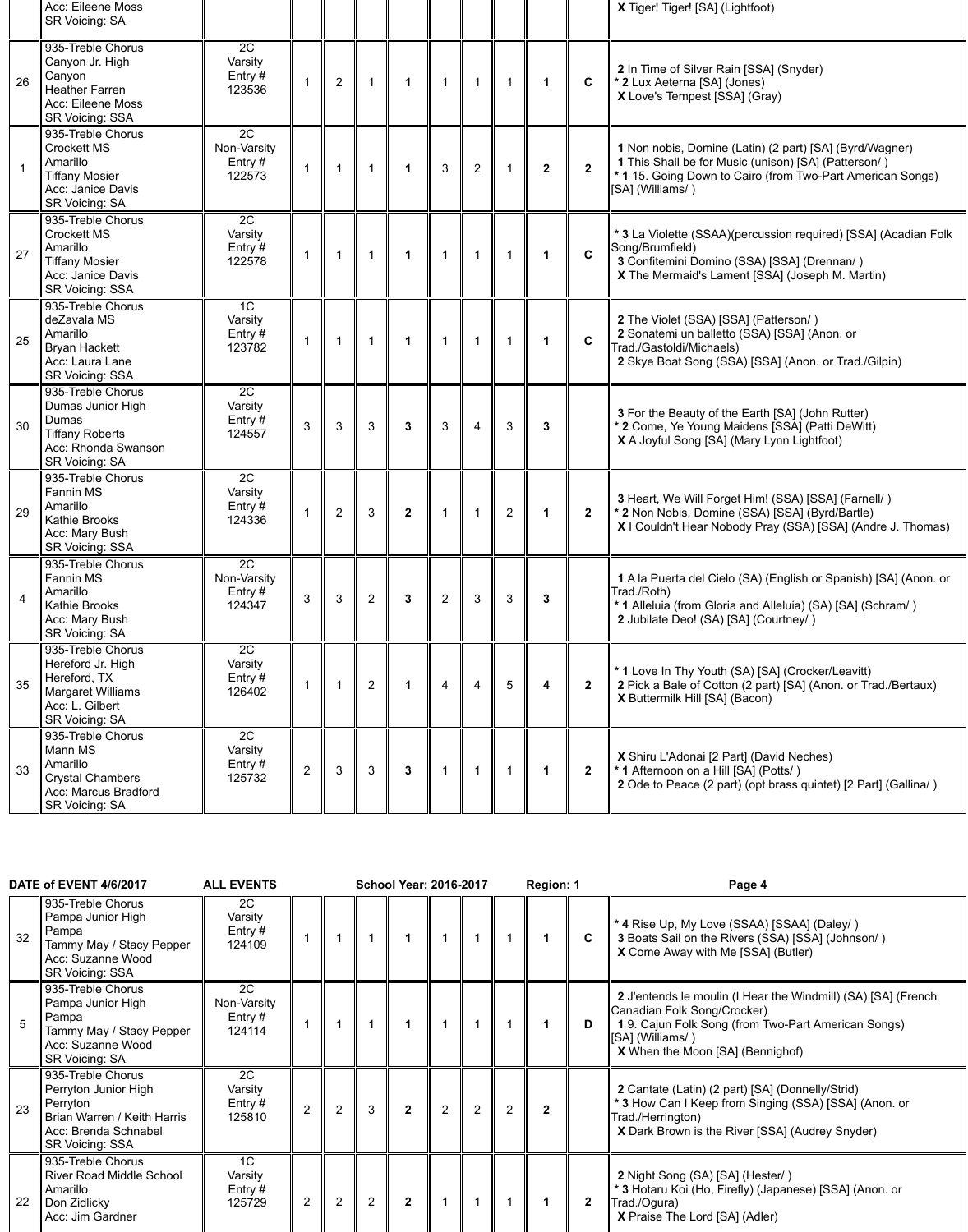|    | Acc: Eileene Moss<br><b>SR Voicing: SA</b>                                                                                     |                                                  |                |                |                |              |                |                |                         |                |                | X Tiger! Tiger! [SA] (Lightfoot)                                                                                                                                                                  |
|----|--------------------------------------------------------------------------------------------------------------------------------|--------------------------------------------------|----------------|----------------|----------------|--------------|----------------|----------------|-------------------------|----------------|----------------|---------------------------------------------------------------------------------------------------------------------------------------------------------------------------------------------------|
| 26 | 935-Treble Chorus<br>Canyon Jr. High<br>Canyon<br><b>Heather Farren</b><br>Acc: Eileene Moss<br><b>SR Voicing: SSA</b>         | 2C<br>Varsity<br>Entry $#$<br>123536             |                | $\overline{2}$ |                | 1            |                |                |                         |                | $\mathbf{C}$   | 2 In Time of Silver Rain [SSA] (Snyder)<br>* 2 Lux Aeterna [SA] (Jones)<br>X Love's Tempest [SSA] (Gray)                                                                                          |
|    | 935-Treble Chorus<br><b>Crockett MS</b><br>Amarillo<br><b>Tiffany Mosier</b><br>Acc: Janice Davis<br><b>SR Voicing: SA</b>     | 2C<br>Non-Varsity<br>Entry $#$<br>122573         |                |                |                | 1            | 3              | $\overline{2}$ | $\overline{\mathbf{1}}$ | 2 <sup>1</sup> | $\overline{2}$ | 1 Non nobis, Domine (Latin) (2 part) [SA] (Byrd/Wagner)<br>1 This Shall be for Music (unison) [SA] (Patterson/)<br>* 1 15. Going Down to Cairo (from Two-Part American Songs)<br>[SA] (Williams/) |
| 27 | 935-Treble Chorus<br><b>Crockett MS</b><br>Amarillo<br><b>Tiffany Mosier</b><br>Acc: Janice Davis<br><b>SR Voicing: SSA</b>    | 2C<br>Varsity<br>Entry $#$<br>122578             |                |                |                | 1            |                |                |                         |                | $\mathbf C$    | * 3 La Violette (SSAA)(percussion required) [SSA] (Acadian Folk<br>Song/Brumfield)<br>3 Confitemini Domino (SSA) [SSA] (Drennan/)<br>X The Mermaid's Lament [SSA] (Joseph M. Martin)              |
| 25 | 935-Treble Chorus<br>deZavala MS<br>Amarillo<br><b>Bryan Hackett</b><br>Acc: Laura Lane<br><b>SR Voicing: SSA</b>              | 1 <sup>C</sup><br>Varsity<br>Entry $#$<br>123782 |                |                |                | $\mathbf 1$  | $\overline{1}$ |                |                         |                | $\mathbf C$    | 2 The Violet (SSA) [SSA] (Patterson/)<br>2 Sonatemi un balletto (SSA) [SSA] (Anon. or<br>Trad./Gastoldi/Michaels)<br>2 Skye Boat Song (SSA) [SSA] (Anon. or Trad./Gilpin)                         |
| 30 | 935-Treble Chorus<br>Dumas Junior High<br>Dumas<br><b>Tiffany Roberts</b><br>Acc: Rhonda Swanson<br><b>SR Voicing: SA</b>      | 2C<br>Varsity<br>Entry #<br>124557               | 3              | 3              | 3              | 3            | 3              | 4              | 3                       | 3              |                | 3 For the Beauty of the Earth [SA] (John Rutter)<br>* 2 Come, Ye Young Maidens [SSA] (Patti DeWitt)<br>X A Joyful Song [SA] (Mary Lynn Lightfoot)                                                 |
| 29 | 935-Treble Chorus<br><b>Fannin MS</b><br>Amarillo<br><b>Kathie Brooks</b><br>Acc: Mary Bush<br><b>SR Voicing: SSA</b>          | 2C<br>Varsity<br>Entry $#$<br>124336             |                | 2              | $\mathbf{3}$   | $\mathbf{2}$ |                |                | $\overline{2}$          |                | $\overline{2}$ | 3 Heart, We Will Forget Him! (SSA) [SSA] (Farnell/)<br>* 2 Non Nobis, Domine (SSA) [SSA] (Byrd/Bartle)<br>X I Couldn't Hear Nobody Pray (SSA) [SSA] (Andre J. Thomas)                             |
| 4  | 935-Treble Chorus<br><b>Fannin MS</b><br>Amarillo<br><b>Kathie Brooks</b><br>Acc: Mary Bush<br><b>SR Voicing: SA</b>           | 2C<br>Non-Varsity<br>Entry #<br>124347           | 3              | $\mathbf{3}$   | $\overline{2}$ | 3            | $\overline{2}$ | 3              | 3                       | 3              |                | 1 A la Puerta del Cielo (SA) (English or Spanish) [SA] (Anon. or<br>Trad./Roth)<br>* 1 Alleluia (from Gloria and Alleluia) (SA) [SA] (Schram/)<br>2 Jubilate Deo! (SA) [SA] (Courtney/)           |
| 35 | 935-Treble Chorus<br>Hereford Jr. High<br>Hereford, TX<br><b>Margaret Williams</b><br>Acc: L. Gilbert<br><b>SR Voicing: SA</b> | 2C<br>Varsity<br>Entry #<br>126402               |                |                | $\overline{2}$ | 1            | $\overline{4}$ | 4              | $5\overline{)}$         | 4              | $\overline{2}$ | * 1 Love In Thy Youth (SA) [SA] (Crocker/Leavitt)<br>2 Pick a Bale of Cotton (2 part) [SA] (Anon. or Trad./Bertaux)<br>X Buttermilk Hill [SA] (Bacon)                                             |
| 33 | 935-Treble Chorus<br>Mann MS<br>Amarillo<br><b>Crystal Chambers</b><br>Acc: Marcus Bradford<br><b>SR Voicing: SA</b>           | 2C<br>Varsity<br>Entry #<br>125732               | $\overline{2}$ | 3              | $\mathbf{3}$   | $\mathbf{3}$ |                |                |                         |                | $\overline{2}$ | X Shiru L'Adonai [2 Part] (David Neches)<br>* 1 Afternoon on a Hill [SA] (Potts/)<br>2 Ode to Peace (2 part) (opt brass quintet) [2 Part] (Gallina/)                                              |

| 32 | 935-Treble Chorus<br>Pampa Junior High<br>Pampa<br>Tammy May / Stacy Pepper<br>Acc: Suzanne Wood<br><b>SR Voicing: SSA</b>             | 2C<br>Varsity<br>Entry $#$<br>124109             |                |   |                |                |   |   |   |              | $\mathbf{C}$ | * 4 Rise Up, My Love (SSAA) [SSAA] (Daley/)<br>3 Boats Sail on the Rivers (SSA) [SSA] (Johnson/)<br>X Come Away with Me [SSA] (Butler)                                                                     |
|----|----------------------------------------------------------------------------------------------------------------------------------------|--------------------------------------------------|----------------|---|----------------|----------------|---|---|---|--------------|--------------|------------------------------------------------------------------------------------------------------------------------------------------------------------------------------------------------------------|
| 5  | 935-Treble Chorus<br>Pampa Junior High<br>Pampa<br>Tammy May / Stacy Pepper<br>Acc: Suzanne Wood<br><b>SR Voicing: SA</b>              | 2C<br>Non-Varsity<br>Entry $#$<br>124114         |                |   |                |                |   |   |   |              | D            | 2 J'entends le moulin (I Hear the Windmill) (SA) [SA] (French<br>Canadian Folk Song/Crocker)<br>19. Cajun Folk Song (from Two-Part American Songs)<br>[SA] (Williams/)<br>X When the Moon [SA] (Bennighof) |
| 23 | 935-Treble Chorus<br>Perryton Junior High<br>Perryton<br>Brian Warren / Keith Harris<br>Acc: Brenda Schnabel<br><b>SR Voicing: SSA</b> | 2C<br>Varsity<br>Entry $#$<br>125810             | $\overline{2}$ | 2 | 3              | $\overline{2}$ | 2 | 2 | 2 | $\mathbf{2}$ |              | 2 Cantate (Latin) (2 part) [SA] (Donnelly/Strid)<br>* 3 How Can I Keep from Singing (SSA) [SSA] (Anon. or<br>Trad./Herrington)<br>X Dark Brown is the River [SSA] (Audrey Snyder)                          |
| 22 | 935-Treble Chorus<br><b>River Road Middle School</b><br>Amarillo<br>Don Zidlicky<br>Acc: Jim Gardner                                   | 1 <sup>C</sup><br>Varsity<br>Entry $#$<br>125729 | $\overline{2}$ | 2 | $\overline{2}$ | $\mathbf{2}$   |   |   |   |              | $\mathbf{2}$ | 2 Night Song (SA) [SA] (Hester/)<br>* 3 Hotaru Koi (Ho, Firefly) (Japanese) [SSA] (Anon. or<br>Trad./Ogura)<br><b>X</b> Praise The Lord [SA] (Adler)                                                       |